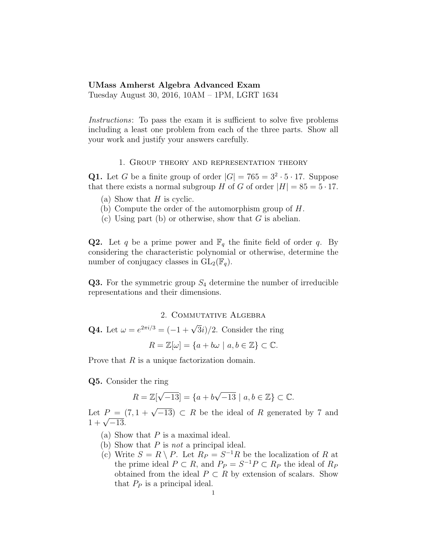## UMass Amherst Algebra Advanced Exam

Tuesday August 30, 2016, 10AM – 1PM, LGRT 1634

Instructions: To pass the exam it is sufficient to solve five problems including a least one problem from each of the three parts. Show all your work and justify your answers carefully.

## 1. Group theory and representation theory

**Q1.** Let G be a finite group of order  $|G| = 765 = 3^2 \cdot 5 \cdot 17$ . Suppose that there exists a normal subgroup H of G of order  $|H| = 85 = 5 \cdot 17$ .

- (a) Show that  $H$  is cyclic.
- (b) Compute the order of the automorphism group of H.
- (c) Using part (b) or otherwise, show that  $G$  is abelian.

**Q2.** Let q be a prime power and  $\mathbb{F}_q$  the finite field of order q. By considering the characteristic polynomial or otherwise, determine the number of conjugacy classes in  $GL_2(\mathbb{F}_q)$ .

**Q3.** For the symmetric group  $S_4$  determine the number of irreducible representations and their dimensions.

## 2. Commutative Algebra

**Q4.** Let  $\omega = e^{2\pi i/3} = \frac{-1 + \sqrt{3}i}{2}$ . Consider the ring

$$
R = \mathbb{Z}[\omega] = \{a + b\omega \mid a, b \in \mathbb{Z}\} \subset \mathbb{C}.
$$

Prove that  $R$  is a unique factorization domain.

Q5. Consider the ring

$$
R = \mathbb{Z}[\sqrt{-13}] = \{a + b\sqrt{-13} \mid a, b \in \mathbb{Z}\} \subset \mathbb{C}.
$$

Let  $P = (7, 1 + \sqrt{-13}) \subset R$  be the ideal of R generated by 7 and Let  $P = ($ <br>1 +  $\sqrt{-13}$ .

- (a) Show that  $P$  is a maximal ideal.
- (b) Show that  $P$  is not a principal ideal.
- (c) Write  $S = R \setminus P$ . Let  $R_P = S^{-1}R$  be the localization of R at the prime ideal  $P \subset R$ , and  $P_P = S^{-1}P \subset R_P$  the ideal of  $R_P$ obtained from the ideal  $P \subset R$  by extension of scalars. Show that  $P_P$  is a principal ideal.